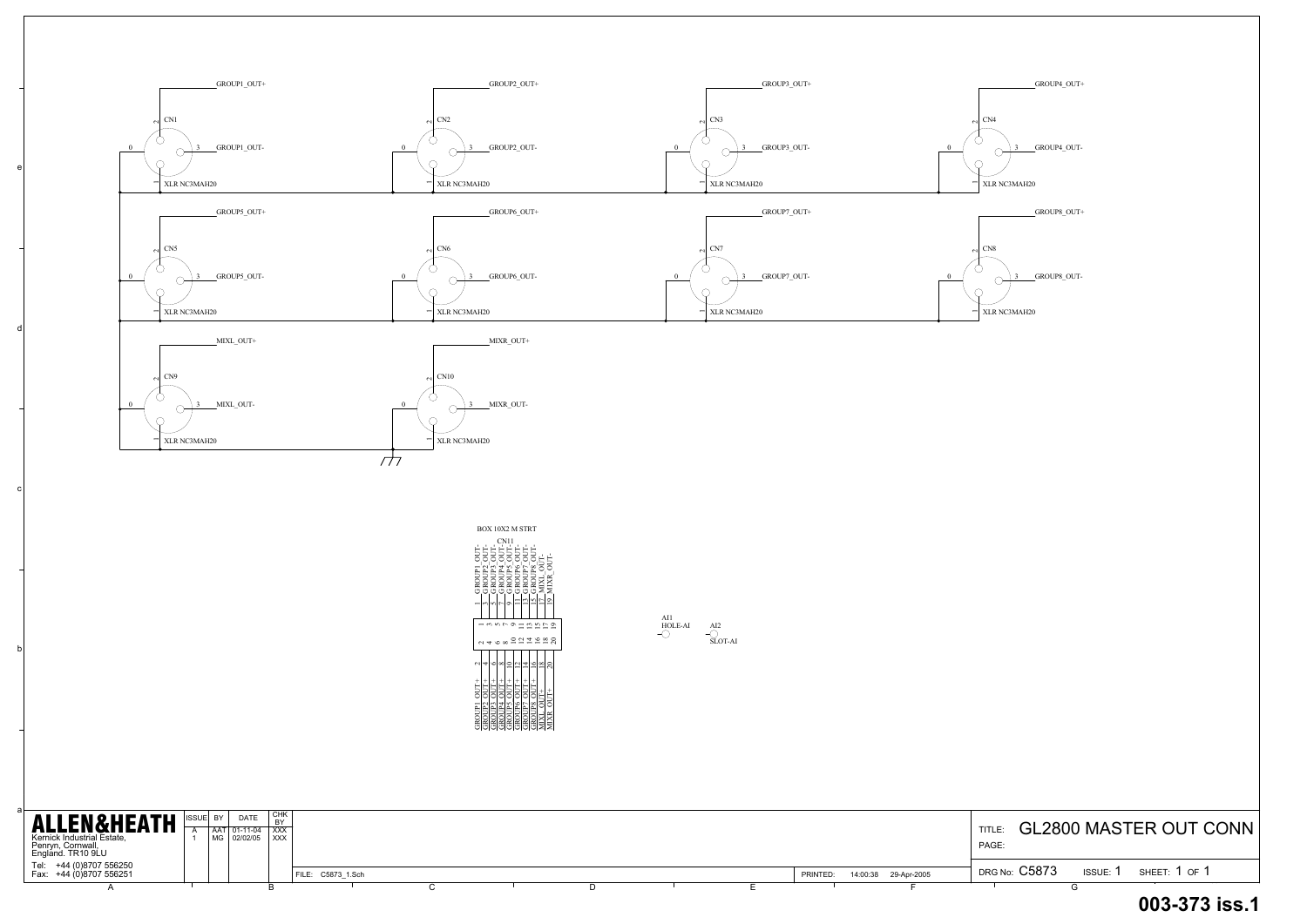TITLE: GL2800 MASTER OUT CONN PAGE:

a

b

c

d

e



| <b>ALLEN&amp;HEATH</b><br>Kernick Industrial Estate,<br>Penryn, Cornwall,<br>England. TR10 9LU | <b>ISSUE BY</b> | <b>DATE</b><br>AAT 01-11-04<br>  MG   02/02/05   XXX | ' CHK<br><b>BY</b><br>$\overline{1}$ XXX |                   |  |  |          |                      | <b>TITLE</b><br>PAGE: |        | <b>GL2800 MASTER OUT C</b> |
|------------------------------------------------------------------------------------------------|-----------------|------------------------------------------------------|------------------------------------------|-------------------|--|--|----------|----------------------|-----------------------|--------|----------------------------|
| Tel: +44 (0)8707 556250<br>Fax: +44 (0)8707 556251                                             |                 |                                                      |                                          | FILE: C5873 1.Sch |  |  | PRINTED: | 14:00:38 29-Apr-2005 | DRG No: C5873         | ISSUE: | SHEET: 1 OF 1              |
|                                                                                                |                 |                                                      |                                          |                   |  |  |          |                      |                       |        |                            |

## **003-373 iss.1**

GROUP8\_OUT-